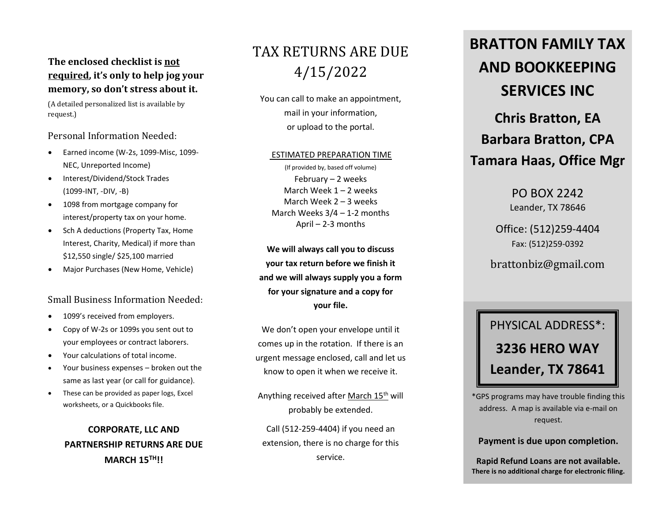### **The enclosed checklist is not required, it's only to help jog your memory, so don't stress about it.**

(A detailed personalized list is available by request.)

Personal Information Needed:

- Earned income (W-2s, 1099-Misc, 1099- NEC, Unreported Income)
- Interest/Dividend/Stock Trades (1099-INT, -DIV, -B)
- 1098 from mortgage company for interest/property tax on your home.
- Sch A deductions (Property Tax, Home Interest, Charity, Medical) if more than \$12,550 single/ \$25,100 married
- Major Purchases (New Home, Vehicle)

#### Small Business Information Needed:

- 1099's received from employers.
- Copy of W-2s or 1099s you sent out to your employees or contract laborers.
- Your calculations of total income.
- Your business expenses broken out the same as last year (or call for guidance).
- These can be provided as paper logs, Excel worksheets, or a Quickbooks file.

## **CORPORATE, LLC AND PARTNERSHIP RETURNS ARE DUE MARCH 15TH!!**

## TAX RETURNS ARE DUE 4/15/2022

You can call to make an appointment, mail in your information, or upload to the portal.

#### ESTIMATED PREPARATION TIME

(If provided by, based off volume) February – 2 weeks March Week  $1 - 2$  weeks March Week 2 – 3 weeks March Weeks 3/4 – 1-2 months April – 2-3 months

**We will always call you to discuss your tax return before we finish it and we will always supply you a form for your signature and a copy for your file.**

We don't open your envelope until it comes up in the rotation. If there is an urgent message enclosed, call and let us know to open it when we receive it.

Anything received after March 15th will probably be extended.

Call (512-259-4404) if you need an extension, there is no charge for this service.

# **BRATTON FAMILY TAX AND BOOKKEEPING SERVICES INC Chris Bratton, EA Barbara Bratton, CPA**

## **Tamara Haas, Office Mgr**

PO BOX 2242 Leander, TX 78646

Office: (512)259-4404 Fax: (512)259-0392

brattonbiz@gmail.com

# PHYSICAL ADDRESS\*: **3236 HERO WAY Leander, TX 78641**

\*GPS programs may have trouble finding this address. A map is available via e-mail on request.

#### **Payment is due upon completion.**

**Rapid Refund Loans are not available. There is no additional charge for electronic filing.**